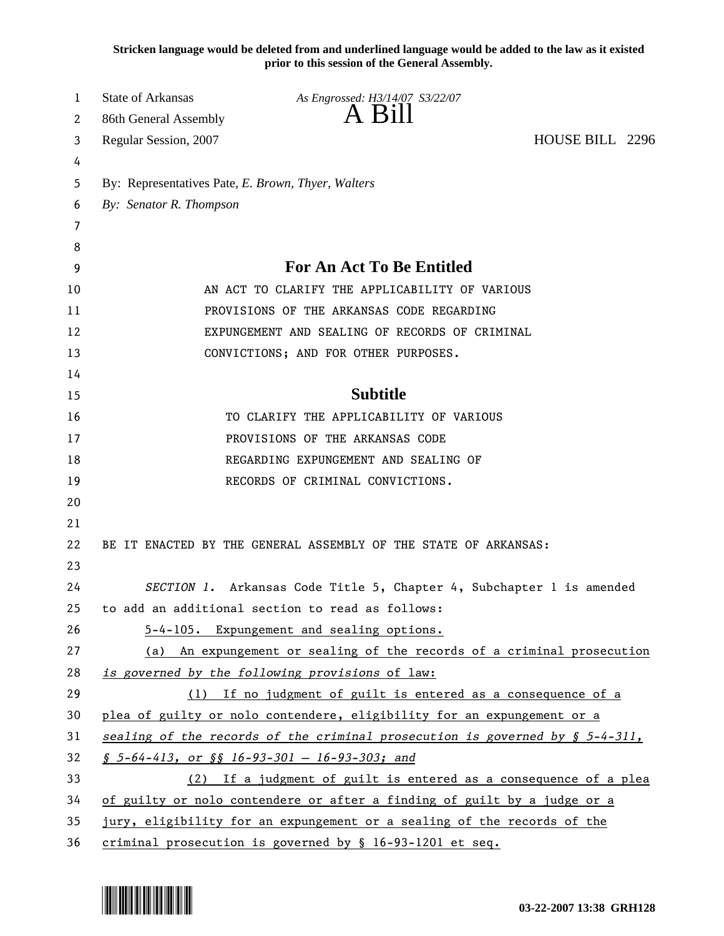**Stricken language would be deleted from and underlined language would be added to the law as it existed prior to this session of the General Assembly.**

| 1      | State of Arkansas                                                               | As Engrossed: H3/14/07 S3/22/07                                          |                 |  |
|--------|---------------------------------------------------------------------------------|--------------------------------------------------------------------------|-----------------|--|
| 2      | 86th General Assembly                                                           | A Bill                                                                   |                 |  |
| 3      | Regular Session, 2007                                                           |                                                                          | HOUSE BILL 2296 |  |
| 4      |                                                                                 |                                                                          |                 |  |
| 5      | By: Representatives Pate, E. Brown, Thyer, Walters                              |                                                                          |                 |  |
| 6      | By: Senator R. Thompson                                                         |                                                                          |                 |  |
| 7      |                                                                                 |                                                                          |                 |  |
| 8<br>9 |                                                                                 | For An Act To Be Entitled                                                |                 |  |
| 10     |                                                                                 | AN ACT TO CLARIFY THE APPLICABILITY OF VARIOUS                           |                 |  |
| 11     |                                                                                 | PROVISIONS OF THE ARKANSAS CODE REGARDING                                |                 |  |
| 12     |                                                                                 | EXPUNGEMENT AND SEALING OF RECORDS OF CRIMINAL                           |                 |  |
| 13     |                                                                                 | CONVICTIONS; AND FOR OTHER PURPOSES.                                     |                 |  |
| 14     |                                                                                 |                                                                          |                 |  |
| 15     |                                                                                 | <b>Subtitle</b>                                                          |                 |  |
| 16     |                                                                                 | TO CLARIFY THE APPLICABILITY OF VARIOUS                                  |                 |  |
| 17     |                                                                                 | PROVISIONS OF THE ARKANSAS CODE                                          |                 |  |
| 18     | REGARDING EXPUNGEMENT AND SEALING OF                                            |                                                                          |                 |  |
| 19     |                                                                                 | RECORDS OF CRIMINAL CONVICTIONS.                                         |                 |  |
| 20     |                                                                                 |                                                                          |                 |  |
| 21     |                                                                                 |                                                                          |                 |  |
| 22     |                                                                                 | BE IT ENACTED BY THE GENERAL ASSEMBLY OF THE STATE OF ARKANSAS:          |                 |  |
| 23     |                                                                                 |                                                                          |                 |  |
| 24     |                                                                                 | SECTION 1. Arkansas Code Title 5, Chapter 4, Subchapter 1 is amended     |                 |  |
| 25     |                                                                                 | to add an additional section to read as follows:                         |                 |  |
| 26     |                                                                                 | 5-4-105. Expungement and sealing options.                                |                 |  |
| 27     |                                                                                 | (a) An expungement or sealing of the records of a criminal prosecution   |                 |  |
| 28     |                                                                                 | is governed by the following provisions of law:                          |                 |  |
| 29     |                                                                                 | (1) If no judgment of guilt is entered as a consequence of a             |                 |  |
| 30     |                                                                                 | plea of guilty or nolo contendere, eligibility for an expungement or a   |                 |  |
| 31     | sealing of the records of the criminal prosecution is governed by $\S$ 5-4-311, |                                                                          |                 |  |
| 32     | $$5-64-413$ , or $$$16-93-301 - 16-93-303$ ; and                                |                                                                          |                 |  |
| 33     | (2) If a judgment of guilt is entered as a consequence of a plea                |                                                                          |                 |  |
| 34     |                                                                                 | of guilty or nolo contendere or after a finding of guilt by a judge or a |                 |  |
| 35     |                                                                                 | jury, eligibility for an expungement or a sealing of the records of the  |                 |  |
| 36     |                                                                                 | criminal prosecution is governed by § 16-93-1201 et seq.                 |                 |  |

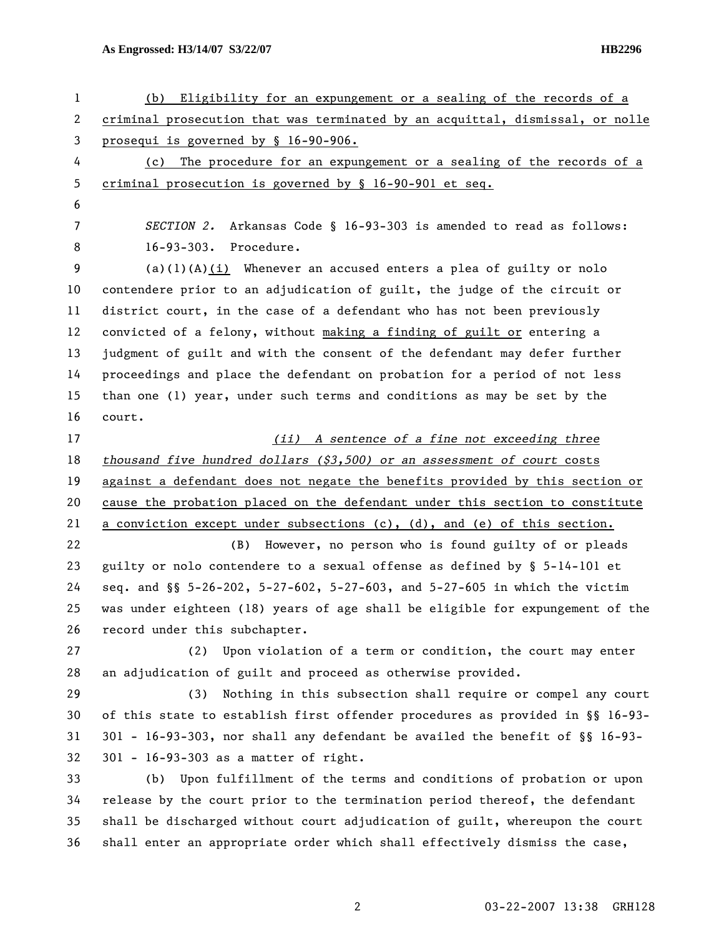**As Engrossed: H3/14/07 S3/22/07 HB2296** 

| $\mathbf{1}$ | Eligibility for an expungement or a sealing of the records of a<br>(b)        |  |  |
|--------------|-------------------------------------------------------------------------------|--|--|
| $\mathbf{2}$ | criminal prosecution that was terminated by an acquittal, dismissal, or nolle |  |  |
| $\mathbf{3}$ | prosequi is governed by § 16-90-906.                                          |  |  |
| 4            | The procedure for an expungement or a sealing of the records of a<br>(c)      |  |  |
| 5            | criminal prosecution is governed by § 16-90-901 et seq.                       |  |  |
| 6            |                                                                               |  |  |
| 7            | SECTION 2. Arkansas Code § 16-93-303 is amended to read as follows:           |  |  |
| 8            | 16-93-303. Procedure.                                                         |  |  |
| 9            | $(a)(1)(A)(i)$ Whenever an accused enters a plea of guilty or nolo            |  |  |
| 10           | contendere prior to an adjudication of guilt, the judge of the circuit or     |  |  |
| 11           | district court, in the case of a defendant who has not been previously        |  |  |
| 12           | convicted of a felony, without making a finding of guilt or entering a        |  |  |
| 13           | judgment of guilt and with the consent of the defendant may defer further     |  |  |
| 14           | proceedings and place the defendant on probation for a period of not less     |  |  |
| 15           | than one (1) year, under such terms and conditions as may be set by the       |  |  |
| 16           | court.                                                                        |  |  |
| 17           | (ii) A sentence of a fine not exceeding three                                 |  |  |
| 18           | thousand five hundred dollars $(33,500)$ or an assessment of court costs      |  |  |
| 19           | against a defendant does not negate the benefits provided by this section or  |  |  |
| 20           | cause the probation placed on the defendant under this section to constitute  |  |  |
| 21           | a conviction except under subsections (c), (d), and (e) of this section.      |  |  |
| 22           | However, no person who is found guilty of or pleads<br>(B)                    |  |  |
| 23           | guilty or nolo contendere to a sexual offense as defined by § 5-14-101 et     |  |  |
| 24           | seq. and §§ 5-26-202, 5-27-602, 5-27-603, and 5-27-605 in which the victim    |  |  |
| 25           | was under eighteen (18) years of age shall be eligible for expungement of the |  |  |
| 26           | record under this subchapter.                                                 |  |  |
| 27           | (2) Upon violation of a term or condition, the court may enter                |  |  |
| 28           | an adjudication of guilt and proceed as otherwise provided.                   |  |  |
| 29           | Nothing in this subsection shall require or compel any court<br>(3)           |  |  |
| 30           | of this state to establish first offender procedures as provided in §§ 16-93- |  |  |
| 31           | 301 - 16-93-303, nor shall any defendant be availed the benefit of §§ 16-93-  |  |  |
| 32           | 301 - 16-93-303 as a matter of right.                                         |  |  |
| 33           | Upon fulfillment of the terms and conditions of probation or upon<br>(b)      |  |  |
| 34           | release by the court prior to the termination period thereof, the defendant   |  |  |
| 35           | shall be discharged without court adjudication of guilt, whereupon the court  |  |  |
| 36           | shall enter an appropriate order which shall effectively dismiss the case,    |  |  |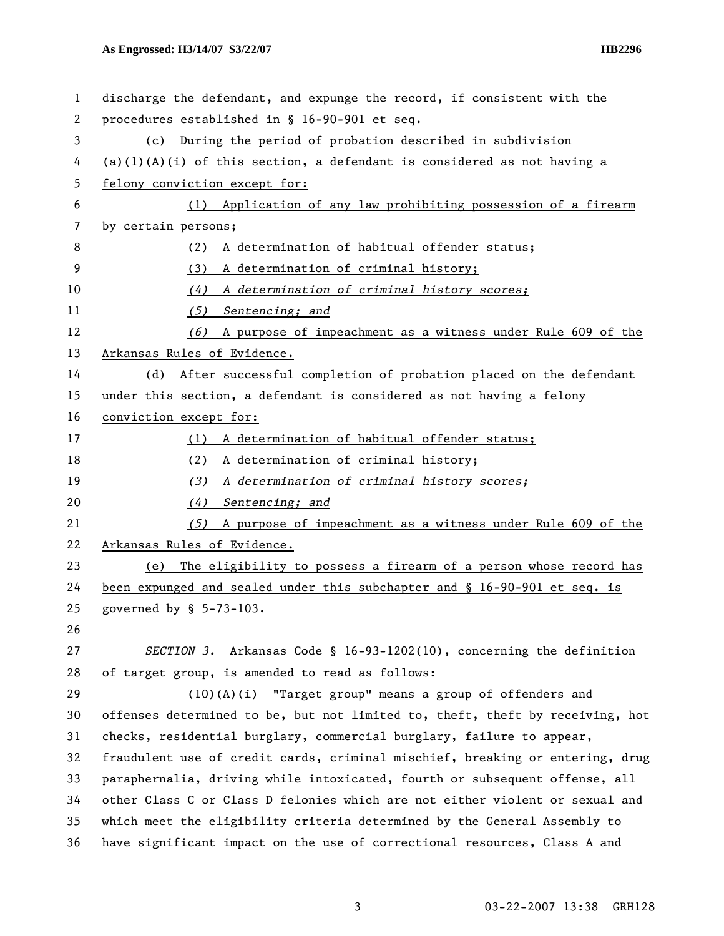## **As Engrossed: H3/14/07 S3/22/07 HB2296**

| $\mathbf{1}$ | discharge the defendant, and expunge the record, if consistent with the       |  |  |
|--------------|-------------------------------------------------------------------------------|--|--|
| 2            | procedures established in § 16-90-901 et seq.                                 |  |  |
| 3            | (c) During the period of probation described in subdivision                   |  |  |
| 4            | $(a)(1)(A)(i)$ of this section, a defendant is considered as not having a     |  |  |
| 5            | felony conviction except for:                                                 |  |  |
| 6            | (1) Application of any law prohibiting possession of a firearm                |  |  |
| 7            | by certain persons;                                                           |  |  |
| 8            | A determination of habitual offender status;<br>(2)                           |  |  |
| 9            | A determination of criminal history;<br>(3)                                   |  |  |
| 10           | A determination of criminal history scores;<br>(4)                            |  |  |
| 11           | (5) Sentencing; and                                                           |  |  |
| 12           | A purpose of impeachment as a witness under Rule 609 of the<br>(6)            |  |  |
| 13           | Arkansas Rules of Evidence.                                                   |  |  |
| 14           | After successful completion of probation placed on the defendant<br>(d)       |  |  |
| 15           | under this section, a defendant is considered as not having a felony          |  |  |
| 16           | conviction except for:                                                        |  |  |
| 17           | A determination of habitual offender status;<br>(1)                           |  |  |
| 18           | A determination of criminal history;<br>(2)                                   |  |  |
| 19           | A determination of criminal history scores;<br>(3)                            |  |  |
| 20           | (4)<br>Sentencing; and                                                        |  |  |
| 21           | A purpose of impeachment as a witness under Rule 609 of the<br>(5)            |  |  |
| 22           | Arkansas Rules of Evidence.                                                   |  |  |
| 23           | The eligibility to possess a firearm of a person whose record has<br>(e)      |  |  |
| 24           | been expunged and sealed under this subchapter and § 16-90-901 et seq. is     |  |  |
| 25           | governed by $$ 5-73-103.$                                                     |  |  |
| 26           |                                                                               |  |  |
| 27           | SECTION 3. Arkansas Code § 16-93-1202(10), concerning the definition          |  |  |
| 28           | of target group, is amended to read as follows:                               |  |  |
| 29           | (10)(A)(i) "Target group" means a group of offenders and                      |  |  |
| 30           | offenses determined to be, but not limited to, theft, theft by receiving, hot |  |  |
| 31           | checks, residential burglary, commercial burglary, failure to appear,         |  |  |
| 32           | fraudulent use of credit cards, criminal mischief, breaking or entering, drug |  |  |
| 33           | paraphernalia, driving while intoxicated, fourth or subsequent offense, all   |  |  |
| 34           | other Class C or Class D felonies which are not either violent or sexual and  |  |  |
| 35           | which meet the eligibility criteria determined by the General Assembly to     |  |  |
| 36           | have significant impact on the use of correctional resources, Class A and     |  |  |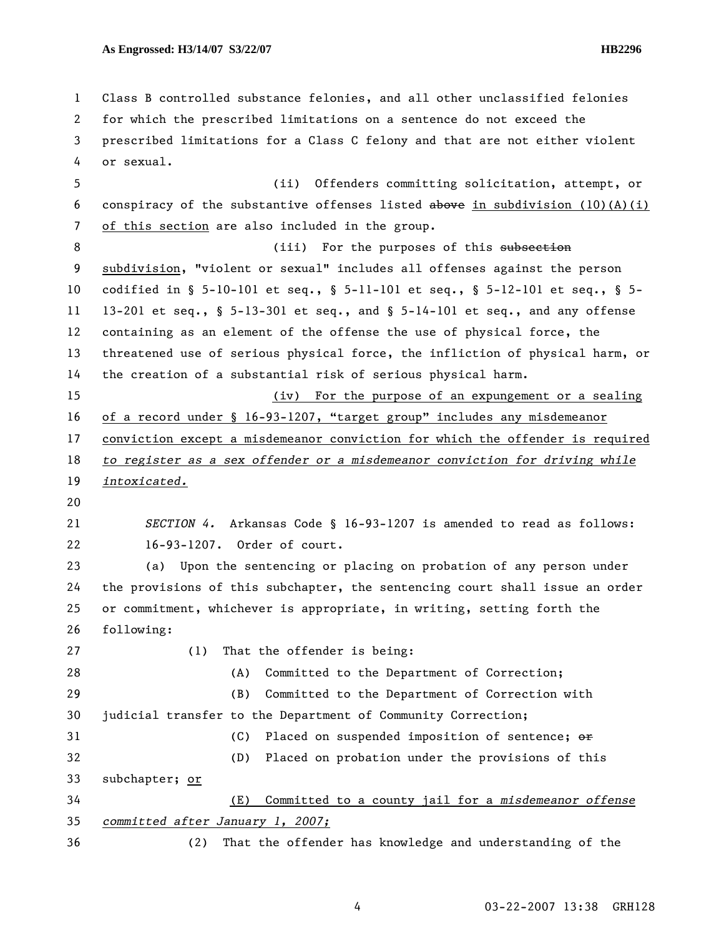1 Class B controlled substance felonies, and all other unclassified felonies 2 for which the prescribed limitations on a sentence do not exceed the 3 prescribed limitations for a Class C felony and that are not either violent 4 or sexual. 5 (ii) Offenders committing solicitation, attempt, or 6 conspiracy of the substantive offenses listed above in subdivision  $(10)(A)(i)$ 7 of this section are also included in the group. 8 (iii) For the purposes of this subsection 9 subdivision, "violent or sexual" includes all offenses against the person 10 codified in § 5-10-101 et seq., § 5-11-101 et seq., § 5-12-101 et seq., § 5- 11 13-201 et seq., § 5-13-301 et seq., and § 5-14-101 et seq., and any offense 12 containing as an element of the offense the use of physical force, the 13 threatened use of serious physical force, the infliction of physical harm, or 14 the creation of a substantial risk of serious physical harm. 15 (iv) For the purpose of an expungement or a sealing 16 of a record under § 16-93-1207, "target group" includes any misdemeanor 17 conviction except a misdemeanor conviction for which the offender is required 18 *to register as a sex offender or a misdemeanor conviction for driving while*  19 *intoxicated.* 20 21 *SECTION 4.* Arkansas Code § 16-93-1207 is amended to read as follows: 22 16-93-1207. Order of court. 23 (a) Upon the sentencing or placing on probation of any person under 24 the provisions of this subchapter, the sentencing court shall issue an order 25 or commitment, whichever is appropriate, in writing, setting forth the 26 following: 27 (1) That the offender is being: 28 (A) Committed to the Department of Correction; 29 (B) Committed to the Department of Correction with 30 judicial transfer to the Department of Community Correction; 31 (C) Placed on suspended imposition of sentence;  $\Theta$ 32 (D) Placed on probation under the provisions of this 33 subchapter; or 34 (E) Committed to a county jail for a *misdemeanor offense*  35 *committed after January 1, 2007;* 36 (2) That the offender has knowledge and understanding of the